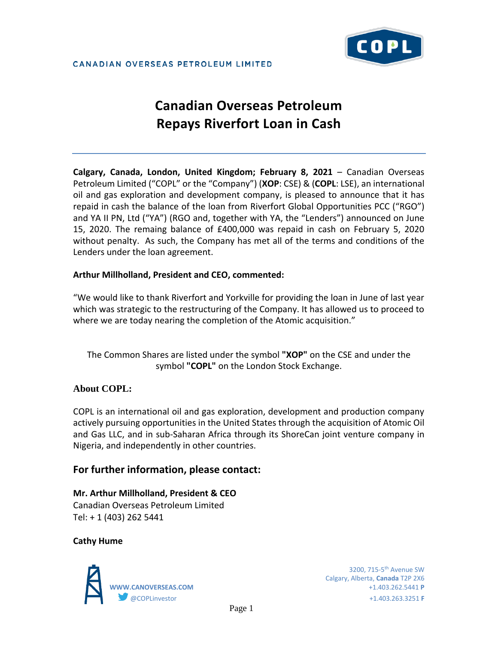

# **Canadian Overseas Petroleum Repays Riverfort Loan in Cash**

**Calgary, Canada, London, United Kingdom; February 8, 2021** – Canadian Overseas Petroleum Limited ("COPL" or the "Company") (**XOP**: CSE) & (**COPL**: LSE), an international oil and gas exploration and development company, is pleased to announce that it has repaid in cash the balance of the loan from Riverfort Global Opportunities PCC ("RGO") and YA II PN, Ltd ("YA") (RGO and, together with YA, the "Lenders") announced on June 15, 2020. The remaing balance of £400,000 was repaid in cash on February 5, 2020 without penalty. As such, the Company has met all of the terms and conditions of the Lenders under the loan agreement.

### **Arthur Millholland, President and CEO, commented:**

"We would like to thank Riverfort and Yorkville for providing the loan in June of last year which was strategic to the restructuring of the Company. It has allowed us to proceed to where we are today nearing the completion of the Atomic acquisition."

The Common Shares are listed under the symbol **"XOP"** on the CSE and under the symbol **"COPL"** on the London Stock Exchange.

# **About COPL:**

COPL is an international oil and gas exploration, development and production company actively pursuing opportunities in the United States through the acquisition of Atomic Oil and Gas LLC, and in sub-Saharan Africa through its ShoreCan joint venture company in Nigeria, and independently in other countries.

# **For further information, please contact:**

**Mr. Arthur Millholland, President & CEO** Canadian Overseas Petroleum Limited Tel: + 1 (403) 262 5441

### **Cathy Hume**



Calgary, Alberta, **Canada** T2P 2X6 **WWW.CANOVERSEAS.COM** +1.403.262.5441 **P** @COPLinvestor +1.403.263.3251 **F**